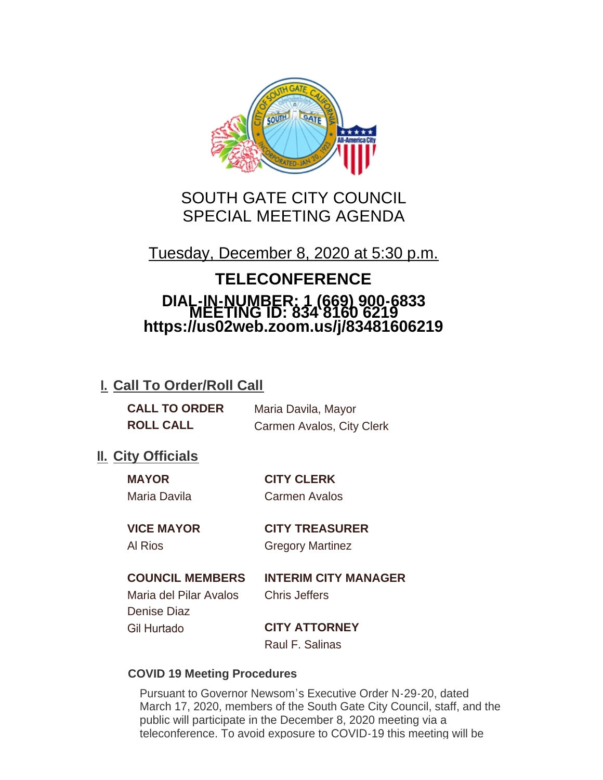

# SOUTH GATE CITY COUNCIL SPECIAL MEETING AGENDA

Tuesday, December 8, 2020 at 5:30 p.m.

# **TELECONFERENCE DIAL-IN-NUMBER: 1 (669) 900-6833 MEETING ID: 834 8160 6219 https://us02web.zoom.us/j/83481606219**

# **I. Call To Order/Roll Call**

| <b>CALL TO ORDER</b> | Maria Davila, Mayor       |
|----------------------|---------------------------|
| <b>ROLL CALL</b>     | Carmen Avalos, City Clerk |

## **II.** City Officials

| <b>MAYOR</b> | <b>CITY CLERK</b>    |
|--------------|----------------------|
| Maria Davila | <b>Carmen Avalos</b> |

# **VICE MAYOR CITY TREASURER**

# Al Rios Gregory Martinez

#### **COUNCIL MEMBERS INTERIM CITY MANAGER**

Maria del Pilar Avalos Chris Jeffers Denise Diaz Gil Hurtado **CITY ATTORNEY**

Raul F. Salinas

#### **COVID 19 Meeting Procedures**

Pursuant to Governor Newsom's Executive Order N-29-20, dated March 17, 2020, members of the South Gate City Council, staff, and the public will participate in the December 8, 2020 meeting via a teleconference. To avoid exposure to COVID-19 this meeting will be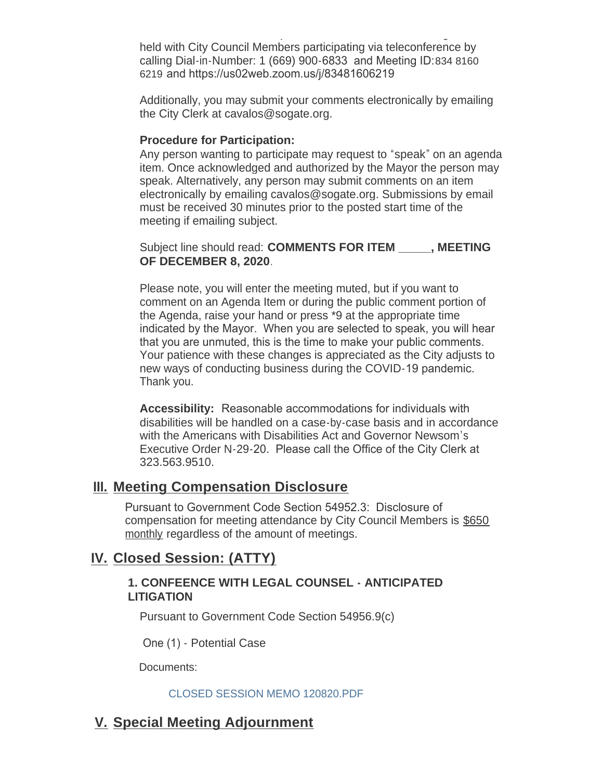teleconference. To avoid exposure to COVID-19 this meeting will be held with City Council Members participating via teleconference by calling Dial-in-Number: 1 (669) 900-6833 and Meeting ID:834 8160 6219 and https://us02web.zoom.us/j/83481606219

Additionally, you may submit your comments electronically by emailing the City Clerk at cavalos@sogate.org.

#### **Procedure for Participation:**

Any person wanting to participate may request to "speak" on an agenda item. Once acknowledged and authorized by the Mayor the person may speak. Alternatively, any person may submit comments on an item electronically by emailing cavalos@sogate.org. Submissions by email must be received 30 minutes prior to the posted start time of the meeting if emailing subject.

Subject line should read: **COMMENTS FOR ITEM \_\_\_\_\_, MEETING OF DECEMBER 8, 2020**.

Please note, you will enter the meeting muted, but if you want to comment on an Agenda Item or during the public comment portion of the Agenda, raise your hand or press \*9 at the appropriate time indicated by the Mayor. When you are selected to speak, you will hear that you are unmuted, this is the time to make your public comments. Your patience with these changes is appreciated as the City adjusts to new ways of conducting business during the COVID-19 pandemic. Thank you.

**Accessibility:** Reasonable accommodations for individuals with disabilities will be handled on a case-by-case basis and in accordance with the Americans with Disabilities Act and Governor Newsom's Executive Order N-29-20. Please call the Office of the City Clerk at 323.563.9510.

## **Meeting Compensation Disclosure III.**

Pursuant to Government Code Section 54952.3: Disclosure of compensation for meeting attendance by City Council Members is \$650 monthly regardless of the amount of meetings.

# **Closed Session: (ATTY) IV.**

#### **1. CONFEENCE WITH LEGAL COUNSEL - ANTICIPATED LITIGATION**

Pursuant to Government Code Section 54956.9(c)

One (1) - Potential Case

Documents:

#### CLOSED SESSION MEMO 120820.PDF

## **Special Meeting Adjournment V.**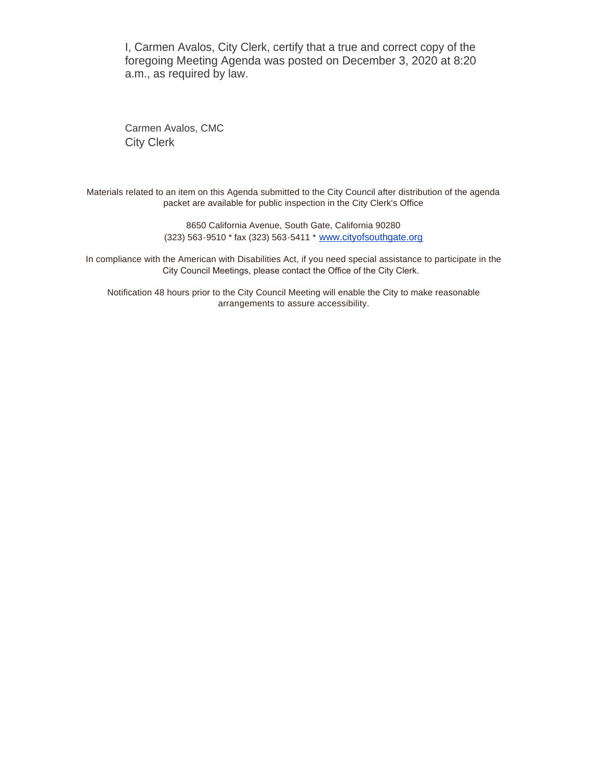I, Carmen Avalos, City Clerk, certify that a true and correct copy of the foregoing Meeting Agenda was posted on December 3, 2020 at 8:20 a.m., as required by law.

Carmen Avalos, CMC City Clerk

Materials related to an item on this Agenda submitted to the City Council after distribution of the agenda packet are available for public inspection in the City Clerk's Office

> 8650 California Avenue, South Gate, California 90280 (323) 563-9510 \* fax (323) 563-5411 \* [www.cityofsouthgate.org](http://www.cityofsouthgate.org/)

In compliance with the American with Disabilities Act, if you need special assistance to participate in the City Council Meetings, please contact the Office of the City Clerk.

Notification 48 hours prior to the City Council Meeting will enable the City to make reasonable arrangements to assure accessibility.